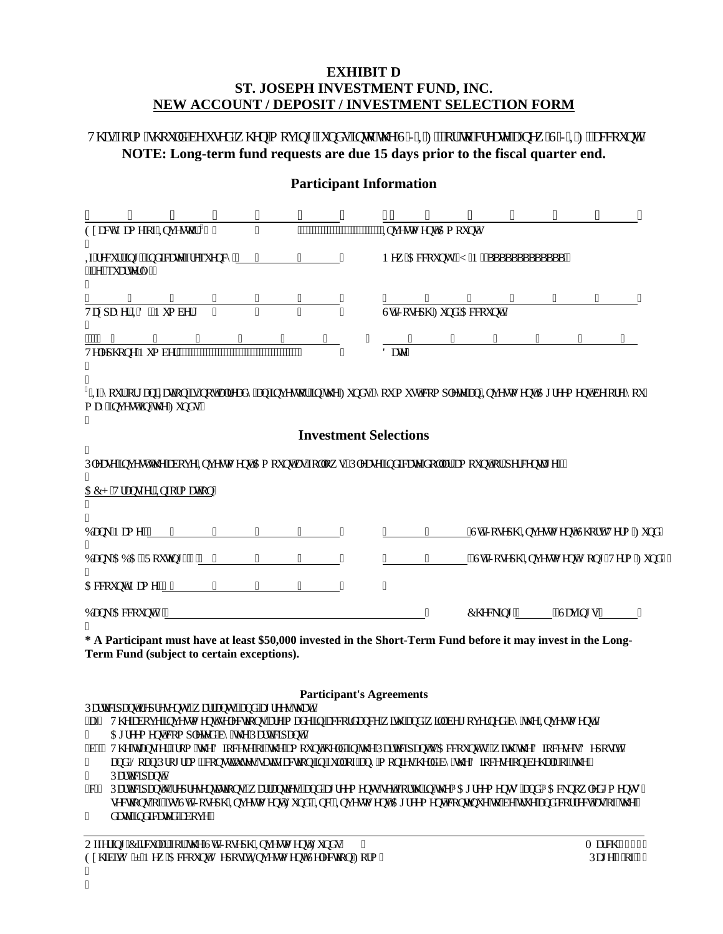# **EXHIBIT D ST. JOSEPH INVESTMENT FUND, INC. NEW ACCOUNT / DEPOSIT / INVESTMENT SELECTION FORM**

Vi ku'logto "uj qwrf" dg"wugf" y j gp" o qxkpi "hwpf u'kpyq" y g"UUKHD" qt" vq" et gcyg" c"pgy "UUKHD' ceeqwpw **NOTE: Long-term fund requests are due 15 days prior to the fiscal quarter end.**

# **Participant Information**

| 11 | 11                                                                | $^{\prime\prime}$ | .,           | п.                 | 11                | ,,                             | Ŀ                            | 11                          |                   | $\mathbf{H}$ and $\mathbf{H}$<br>$^{\prime\prime}$                                                                                           | 11 | 11 | 11                                                  |
|----|-------------------------------------------------------------------|-------------------|--------------|--------------------|-------------------|--------------------------------|------------------------------|-----------------------------|-------------------|----------------------------------------------------------------------------------------------------------------------------------------------|----|----|-----------------------------------------------------|
|    | Gzcev'P co g"qh'Kpxguxqt" <sup>3</sup> " "                        |                   |              | $\mathbf{H}^{\pm}$ |                   | ,,,,,,,,,,,,,,,,,,,,,,,,,,,,,, |                              | "Kpxguvo gpv'Co qwpv"       |                   |                                                                                                                                              |    |    |                                                     |
|    | Ki'tgewttkpi.'kpf kecvg'htgs wgpe{'"___"_<br>*KQgO's wct vgt n{+" |                   |              |                    |                   |                                |                              |                             |                   | P gy 'CeeqwpvA'*[ IP +'aaaaaaaaaaaaaa'"                                                                                                      |    |    |                                                     |
|    |                                                                   | $\mathbf{H}$      |              |                    |                   |                                |                              |                             | $^{\prime\prime}$ |                                                                                                                                              |    |    |                                                     |
|    | Vczr c{gt 'KF 0P wo dgt"                                          |                   | $\mathbf{H}$ | $\mathbf{H}$       | $\mathbf{H}$      |                                |                              | UtoIqugr j 'Hwpf 'Ceeqwpv'% |                   |                                                                                                                                              |    |    |                                                     |
|    | $\mathbf{H}$                                                      |                   |              |                    |                   |                                |                              |                             |                   |                                                                                                                                              |    |    |                                                     |
| 11 |                                                                   |                   |              |                    |                   |                                | Fcw"                         |                             |                   |                                                                                                                                              |    |    |                                                     |
|    | o c{ "kpxguv"kp"\j g"Hwpf u0"                                     |                   |              |                    |                   |                                |                              |                             |                   | <sup>3</sup> "Ka"{qwt"qti cpk  cvkqp"ku"pqv"crtgcf {"cp"kpxguxqt"kp"vj g"Hwpf u."{qw"o wuv"eqo r rgyg"cp"Kpxguvo gpv"Ci tggo gpv"dghqtg"{qw" |    |    |                                                     |
| Ħ  |                                                                   |                   |              |                    |                   |                                | <b>Investment Selections</b> |                             |                   |                                                                                                                                              |    |    |                                                     |
|    |                                                                   |                   |              |                    |                   |                                |                              |                             |                   | Rigcug'lpxguv'y g'cdqxg'lfpxguvo gpv'Co qwpv'cu'liqmy u'*Rigcug'lpf lecvg'f qmct'co qwpv'qt'r gtegpxi g $\prec$                              |    |    |                                                     |
|    | CEJ "Vtcpuhgt"Kphqto cvkqp"                                       |                   |              |                    |                   |                                |                              |                             |                   |                                                                                                                                              |    |    |                                                     |
|    | DepmP co $g\text{-}\frac{m}{2}$ $\cdots$ $\cdots$ $\cdots$        |                   |              |                    |                   | .,                             | н.                           |                             |                   |                                                                                                                                              |    |    | <u>"</u> Uv0'Lqugrj "Kpxguvo gpv'Uj qt√Vgto "Hvpf " |
|    | DcpmCDC"*Tqwkpi +'%" "                                            |                   |              |                    | $\mathbf{H}$      | 11                             |                              |                             |                   |                                                                                                                                              |    |    | "Udlqugrj "Kpxguvo gpv'Nqpi / Vgto "Hwpf, '         |
|    | Ceequov'P co g $\frac{m}{2}$ $\frac{m}{2}$ $\frac{m}{2}$          |                   |              | .,                 | $^{\prime\prime}$ | $\pmb{\mathsf{H}}$             | 11                           |                             |                   |                                                                                                                                              |    |    |                                                     |
|    | Dcpm'Ceeqwpv'%"                                                   |                   |              |                    |                   |                                |                              |                             |                   | Ej genkpi "' _____ "''Ucxkpi u'"                                                                                                             |    |    |                                                     |

**\* A Participant must have at least \$50,000 invested in the Short-Term Fund before it may invest in the Long-Term Fund (subject to certain exceptions).** 

### **Participant's Agreements**

Ret vehr epv't gr t gugpvu. "v ettepvu. "epf "ei t ggu"y eve"

\*c+" Vj g'cdqxg'kpxguvo gpv'ugngevkqpu'ctg'o cf g'kp''ceeqtf cpeg'y koj ''cpf'y kni'dg'i qxgtpgf ''d{''y g''Kpxguvo gpv'''

 $Ci$  tggo gpv'ego r ngvgf "d{ "vi g"Rct vke k $c$ pv0"

\*d+"' Vj g'\tcpuhgt'htqo ''yj g'F kqegug''qh''yj g''co qwpv'j grf ''kp''yj g''Rct\kekr cpv)u''Ceeqwpv\*u+''y kyj ''yj g'F kqegug)u'F gr qukv''

cpf 'Nqcp'Rtqi tco . eqpuxxw.gu'ucxurexqp'ko'lixmiqh'cp{'o qpkgu'i gif 'd{'vi g'F kjegug'qp'dgi crh'qh'vi g'"

Ret viel cowl

I

\*e+" Retvlekr epv)u'tgr tgugpvevkqpu."y ettepvlgu."epf "ei tggo gpvu"ugv'hqtvj "kp"vjg"õCi tggo gpvuö"epf "õCenpqy ngf i o gpvuö" ugevkqpu''qh'ku'Uo'Lqugrj'Koxguvo gpv'Hwpf.'KoeO'Koxguvo gpv'Citggo gpv'eqpvkpwg''q'dg''vtwg''cpf'eqttgev'cu''qh'vig'"

f cvg"kpf kecvgf "cdqxg0"

Qhhgtkpi "Ektewnet"hqt"vjg"Ux01qugrj "Kpxguvo gpv"Hwpfu" minimism enterpretational stategy of the US29"<br>Czjkdkv'F"6"P gy "CeeqwpvlF gr qukvlKpxguvo gpv"Ugngevkqp"Hqto " Reig"3"qh'4" Gzj kdkv'F "6"P gy "CeeqwovlF gr qukvlKoxguvo gpv'Ugngevkqp "Hqto " I